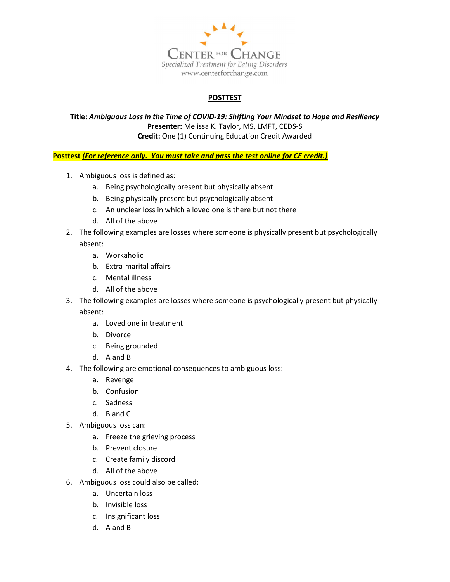

## POSTTEST

Title: Ambiguous Loss in the Time of COVID-19: Shifting Your Mindset to Hope and Resiliency Presenter: Melissa K. Taylor, MS, LMFT, CEDS-S Credit: One (1) Continuing Education Credit Awarded

Posttest (For reference only. You must take and pass the test online for CE credit.)

- 1. Ambiguous loss is defined as:
	- a. Being psychologically present but physically absent
	- b. Being physically present but psychologically absent
	- c. An unclear loss in which a loved one is there but not there
	- d. All of the above
- 2. The following examples are losses where someone is physically present but psychologically absent:
	- a. Workaholic
	- b. Extra-marital affairs
	- c. Mental illness
	- d. All of the above
- 3. The following examples are losses where someone is psychologically present but physically absent:
	- a. Loved one in treatment
	- b. Divorce
	- c. Being grounded
	- d. A and B
- 4. The following are emotional consequences to ambiguous loss:
	- a. Revenge
	- b. Confusion
	- c. Sadness
	- d. B and C
- 5. Ambiguous loss can:
	- a. Freeze the grieving process
	- b. Prevent closure
	- c. Create family discord
	- d. All of the above
- 6. Ambiguous loss could also be called:
	- a. Uncertain loss
		- b. Invisible loss
		- c. Insignificant loss
		- d. A and B